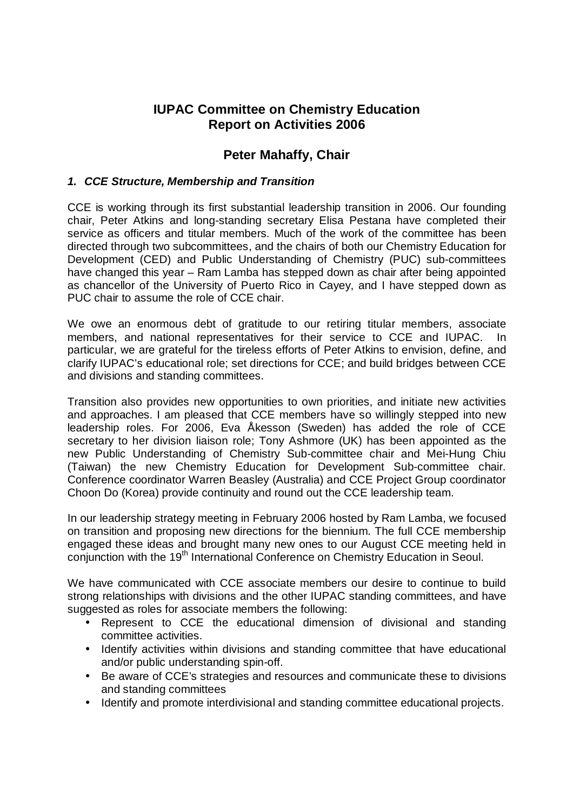# **IUPAC Committee on Chemistry Education Report on Activities 2006**

## **Peter Mahaffy, Chair**

## **1. CCE Structure, Membership and Transition**

CCE is working through its first substantial leadership transition in 2006. Our founding chair, Peter Atkins and long-standing secretary Elisa Pestana have completed their service as officers and titular members. Much of the work of the committee has been directed through two subcommittees, and the chairs of both our Chemistry Education for Development (CED) and Public Understanding of Chemistry (PUC) sub-committees have changed this year – Ram Lamba has stepped down as chair after being appointed as chancellor of the University of Puerto Rico in Cayey, and I have stepped down as PUC chair to assume the role of CCE chair.

We owe an enormous debt of gratitude to our retiring titular members, associate members, and national representatives for their service to CCE and IUPAC. In particular, we are grateful for the tireless efforts of Peter Atkins to envision, define, and clarify IUPAC's educational role; set directions for CCE; and build bridges between CCE and divisions and standing committees.

Transition also provides new opportunities to own priorities, and initiate new activities and approaches. I am pleased that CCE members have so willingly stepped into new leadership roles. For 2006, Eva Åkesson (Sweden) has added the role of CCE secretary to her division liaison role; Tony Ashmore (UK) has been appointed as the new Public Understanding of Chemistry Sub-committee chair and Mei-Hung Chiu (Taiwan) the new Chemistry Education for Development Sub-committee chair. Conference coordinator Warren Beasley (Australia) and CCE Project Group coordinator Choon Do (Korea) provide continuity and round out the CCE leadership team.

In our leadership strategy meeting in February 2006 hosted by Ram Lamba, we focused on transition and proposing new directions for the biennium. The full CCE membership engaged these ideas and brought many new ones to our August CCE meeting held in conjunction with the 19<sup>th</sup> International Conference on Chemistry Education in Seoul.

We have communicated with CCE associate members our desire to continue to build strong relationships with divisions and the other IUPAC standing committees, and have suggested as roles for associate members the following:

- Represent to CCE the educational dimension of divisional and standing committee activities.
- Identify activities within divisions and standing committee that have educational and/or public understanding spin-off.
- Be aware of CCE's strategies and resources and communicate these to divisions and standing committees
- Identify and promote interdivisional and standing committee educational projects.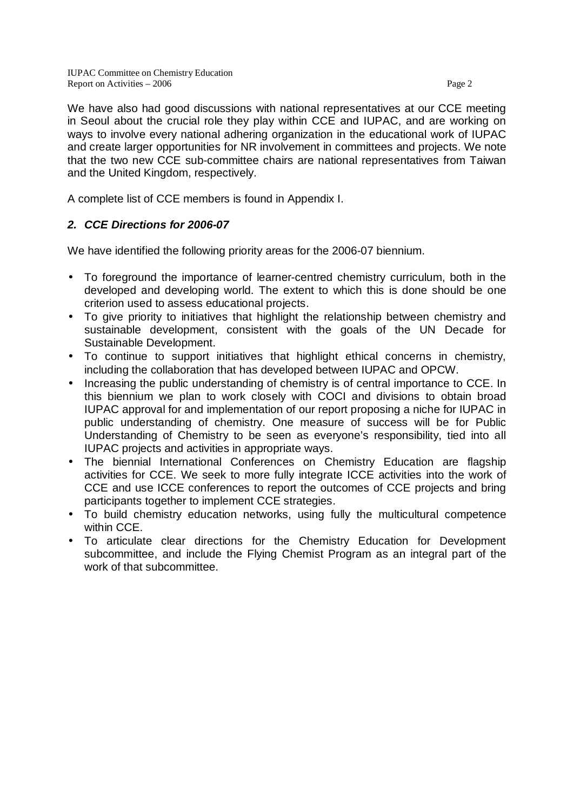We have also had good discussions with national representatives at our CCE meeting in Seoul about the crucial role they play within CCE and IUPAC, and are working on ways to involve every national adhering organization in the educational work of IUPAC and create larger opportunities for NR involvement in committees and projects. We note that the two new CCE sub-committee chairs are national representatives from Taiwan and the United Kingdom, respectively.

A complete list of CCE members is found in Appendix I.

## **2. CCE Directions for 2006-07**

We have identified the following priority areas for the 2006-07 biennium.

- To foreground the importance of learner-centred chemistry curriculum, both in the developed and developing world. The extent to which this is done should be one criterion used to assess educational projects.
- To give priority to initiatives that highlight the relationship between chemistry and sustainable development, consistent with the goals of the UN Decade for Sustainable Development.
- To continue to support initiatives that highlight ethical concerns in chemistry, including the collaboration that has developed between IUPAC and OPCW.
- Increasing the public understanding of chemistry is of central importance to CCE. In this biennium we plan to work closely with COCI and divisions to obtain broad IUPAC approval for and implementation of our report proposing a niche for IUPAC in public understanding of chemistry. One measure of success will be for Public Understanding of Chemistry to be seen as everyone's responsibility, tied into all IUPAC projects and activities in appropriate ways.
- The biennial International Conferences on Chemistry Education are flagship activities for CCE. We seek to more fully integrate ICCE activities into the work of CCE and use ICCE conferences to report the outcomes of CCE projects and bring participants together to implement CCE strategies.
- To build chemistry education networks, using fully the multicultural competence within CCE.
- To articulate clear directions for the Chemistry Education for Development subcommittee, and include the Flying Chemist Program as an integral part of the work of that subcommittee.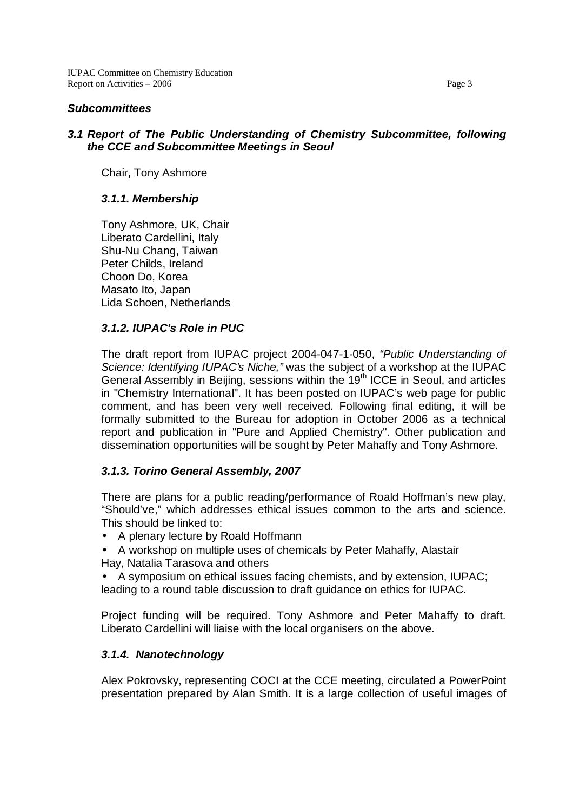#### **Subcommittees**

## **3.1 Report of The Public Understanding of Chemistry Subcommittee, following the CCE and Subcommittee Meetings in Seoul**

Chair, Tony Ashmore

### **3.1.1. Membership**

Tony Ashmore, UK, Chair Liberato Cardellini, Italy Shu-Nu Chang, Taiwan Peter Childs, Ireland Choon Do, Korea Masato Ito, Japan Lida Schoen, Netherlands

## **3.1.2. IUPAC's Role in PUC**

The draft report from IUPAC project 2004-047-1-050, "Public Understanding of Science: Identifying IUPAC's Niche," was the subject of a workshop at the IUPAC General Assembly in Beijing, sessions within the 19<sup>th</sup> ICCE in Seoul, and articles in "Chemistry International". It has been posted on IUPAC's web page for public comment, and has been very well received. Following final editing, it will be formally submitted to the Bureau for adoption in October 2006 as a technical report and publication in "Pure and Applied Chemistry". Other publication and dissemination opportunities will be sought by Peter Mahaffy and Tony Ashmore.

#### **3.1.3. Torino General Assembly, 2007**

There are plans for a public reading/performance of Roald Hoffman's new play, "Should've," which addresses ethical issues common to the arts and science. This should be linked to:

- A plenary lecture by Roald Hoffmann
- A workshop on multiple uses of chemicals by Peter Mahaffy, Alastair Hay, Natalia Tarasova and others
- A symposium on ethical issues facing chemists, and by extension, IUPAC;

leading to a round table discussion to draft guidance on ethics for IUPAC.

Project funding will be required. Tony Ashmore and Peter Mahaffy to draft. Liberato Cardellini will liaise with the local organisers on the above.

#### **3.1.4. Nanotechnology**

Alex Pokrovsky, representing COCI at the CCE meeting, circulated a PowerPoint presentation prepared by Alan Smith. It is a large collection of useful images of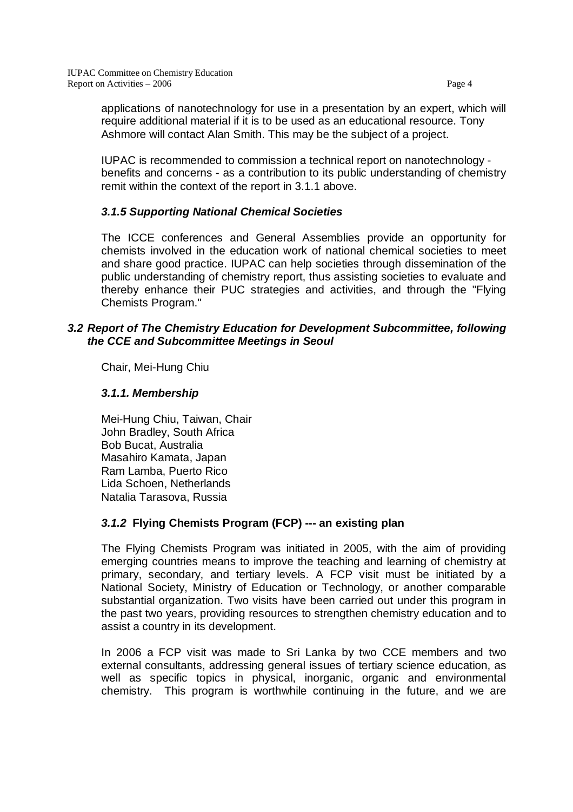applications of nanotechnology for use in a presentation by an expert, which will require additional material if it is to be used as an educational resource. Tony Ashmore will contact Alan Smith. This may be the subject of a project.

IUPAC is recommended to commission a technical report on nanotechnology benefits and concerns - as a contribution to its public understanding of chemistry remit within the context of the report in 3.1.1 above.

## **3.1.5 Supporting National Chemical Societies**

The ICCE conferences and General Assemblies provide an opportunity for chemists involved in the education work of national chemical societies to meet and share good practice. IUPAC can help societies through dissemination of the public understanding of chemistry report, thus assisting societies to evaluate and thereby enhance their PUC strategies and activities, and through the "Flying Chemists Program."

## **3.2 Report of The Chemistry Education for Development Subcommittee, following the CCE and Subcommittee Meetings in Seoul**

Chair, Mei-Hung Chiu

## **3.1.1. Membership**

Mei-Hung Chiu, Taiwan, Chair John Bradley, South Africa Bob Bucat, Australia Masahiro Kamata, Japan Ram Lamba, Puerto Rico Lida Schoen, Netherlands Natalia Tarasova, Russia

## **3.1.2 Flying Chemists Program (FCP) --- an existing plan**

The Flying Chemists Program was initiated in 2005, with the aim of providing emerging countries means to improve the teaching and learning of chemistry at primary, secondary, and tertiary levels. A FCP visit must be initiated by a National Society, Ministry of Education or Technology, or another comparable substantial organization. Two visits have been carried out under this program in the past two years, providing resources to strengthen chemistry education and to assist a country in its development.

In 2006 a FCP visit was made to Sri Lanka by two CCE members and two external consultants, addressing general issues of tertiary science education, as well as specific topics in physical, inorganic, organic and environmental chemistry. This program is worthwhile continuing in the future, and we are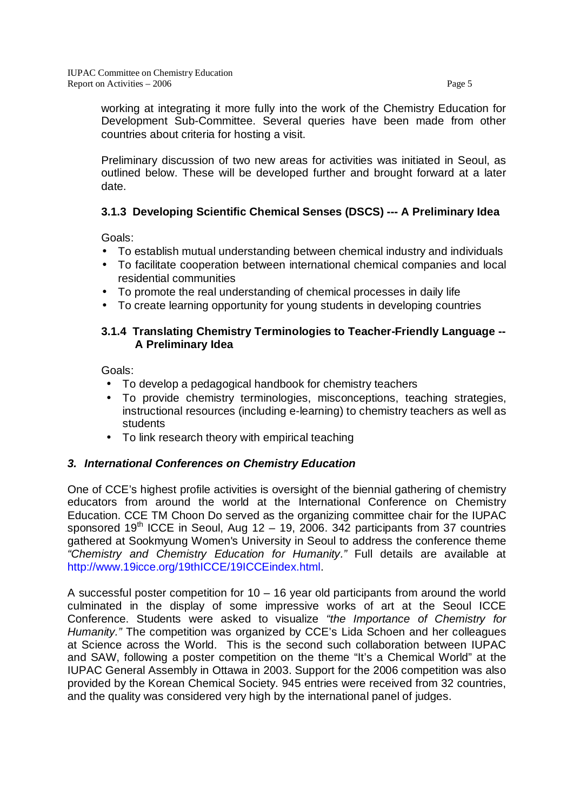working at integrating it more fully into the work of the Chemistry Education for Development Sub-Committee. Several queries have been made from other countries about criteria for hosting a visit.

 Preliminary discussion of two new areas for activities was initiated in Seoul, as outlined below. These will be developed further and brought forward at a later date.

## **3.1.3 Developing Scientific Chemical Senses (DSCS) --- A Preliminary Idea**

Goals:

- To establish mutual understanding between chemical industry and individuals
- To facilitate cooperation between international chemical companies and local residential communities
- To promote the real understanding of chemical processes in daily life
- To create learning opportunity for young students in developing countries

## **3.1.4 Translating Chemistry Terminologies to Teacher-Friendly Language -- A Preliminary Idea**

Goals:

- To develop a pedagogical handbook for chemistry teachers
- To provide chemistry terminologies, misconceptions, teaching strategies, instructional resources (including e-learning) to chemistry teachers as well as students
- To link research theory with empirical teaching

## **3. International Conferences on Chemistry Education**

One of CCE's highest profile activities is oversight of the biennial gathering of chemistry educators from around the world at the International Conference on Chemistry Education. CCE TM Choon Do served as the organizing committee chair for the IUPAC sponsored  $19<sup>th</sup>$  ICCE in Seoul, Aug 12 – 19, 2006. 342 participants from 37 countries gathered at Sookmyung Women's University in Seoul to address the conference theme "Chemistry and Chemistry Education for Humanity." Full details are available at http://www.19icce.org/19thICCE/19ICCEindex.html.

A successful poster competition for  $10 - 16$  year old participants from around the world culminated in the display of some impressive works of art at the Seoul ICCE Conference. Students were asked to visualize "the Importance of Chemistry for Humanity." The competition was organized by CCE's Lida Schoen and her colleagues at Science across the World. This is the second such collaboration between IUPAC and SAW, following a poster competition on the theme "It's a Chemical World" at the IUPAC General Assembly in Ottawa in 2003. Support for the 2006 competition was also provided by the Korean Chemical Society. 945 entries were received from 32 countries, and the quality was considered very high by the international panel of judges.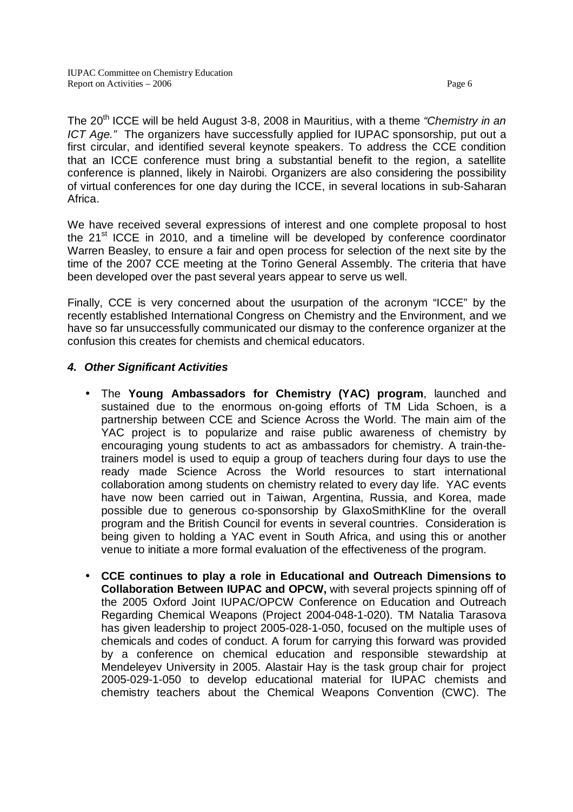The  $20<sup>th</sup>$  ICCE will be held August 3-8, 2008 in Mauritius, with a theme "Chemistry in an ICT Age." The organizers have successfully applied for IUPAC sponsorship, put out a first circular, and identified several keynote speakers. To address the CCE condition that an ICCE conference must bring a substantial benefit to the region, a satellite conference is planned, likely in Nairobi. Organizers are also considering the possibility of virtual conferences for one day during the ICCE, in several locations in sub-Saharan Africa.

We have received several expressions of interest and one complete proposal to host the 21st ICCE in 2010, and a timeline will be developed by conference coordinator Warren Beasley, to ensure a fair and open process for selection of the next site by the time of the 2007 CCE meeting at the Torino General Assembly. The criteria that have been developed over the past several years appear to serve us well.

Finally, CCE is very concerned about the usurpation of the acronym "ICCE" by the recently established International Congress on Chemistry and the Environment, and we have so far unsuccessfully communicated our dismay to the conference organizer at the confusion this creates for chemists and chemical educators.

## **4. Other Significant Activities**

- The **Young Ambassadors for Chemistry (YAC) program**, launched and sustained due to the enormous on-going efforts of TM Lida Schoen, is a partnership between CCE and Science Across the World. The main aim of the YAC project is to popularize and raise public awareness of chemistry by encouraging young students to act as ambassadors for chemistry. A train-thetrainers model is used to equip a group of teachers during four days to use the ready made Science Across the World resources to start international collaboration among students on chemistry related to every day life. YAC events have now been carried out in Taiwan, Argentina, Russia, and Korea, made possible due to generous co-sponsorship by GlaxoSmithKline for the overall program and the British Council for events in several countries. Consideration is being given to holding a YAC event in South Africa, and using this or another venue to initiate a more formal evaluation of the effectiveness of the program.
- **CCE continues to play a role in Educational and Outreach Dimensions to Collaboration Between IUPAC and OPCW,** with several projects spinning off of the 2005 Oxford Joint IUPAC/OPCW Conference on Education and Outreach Regarding Chemical Weapons (Project 2004-048-1-020). TM Natalia Tarasova has given leadership to project 2005-028-1-050, focused on the multiple uses of chemicals and codes of conduct. A forum for carrying this forward was provided by a conference on chemical education and responsible stewardship at Mendeleyev University in 2005. Alastair Hay is the task group chair for project 2005-029-1-050 to develop educational material for IUPAC chemists and chemistry teachers about the Chemical Weapons Convention (CWC). The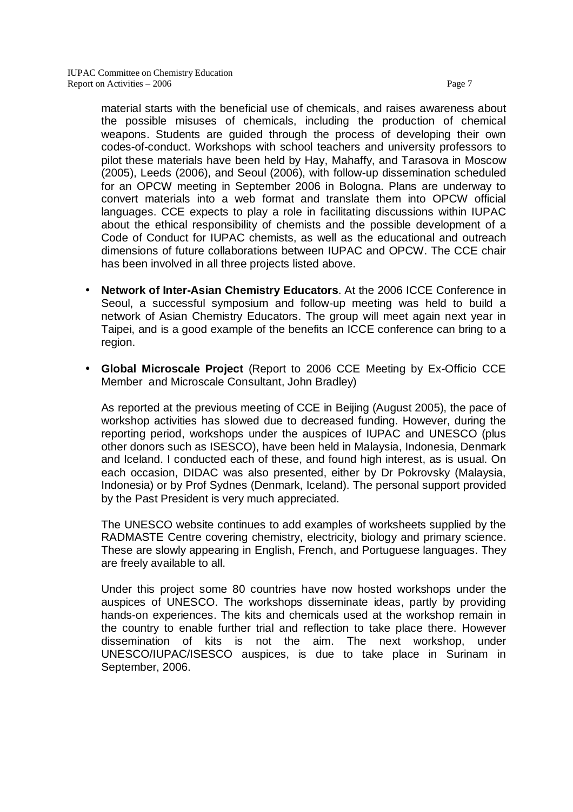material starts with the beneficial use of chemicals, and raises awareness about the possible misuses of chemicals, including the production of chemical weapons. Students are guided through the process of developing their own codes-of-conduct. Workshops with school teachers and university professors to pilot these materials have been held by Hay, Mahaffy, and Tarasova in Moscow (2005), Leeds (2006), and Seoul (2006), with follow-up dissemination scheduled for an OPCW meeting in September 2006 in Bologna. Plans are underway to convert materials into a web format and translate them into OPCW official languages. CCE expects to play a role in facilitating discussions within IUPAC about the ethical responsibility of chemists and the possible development of a Code of Conduct for IUPAC chemists, as well as the educational and outreach dimensions of future collaborations between IUPAC and OPCW. The CCE chair has been involved in all three projects listed above.

- **Network of Inter-Asian Chemistry Educators**. At the 2006 ICCE Conference in Seoul, a successful symposium and follow-up meeting was held to build a network of Asian Chemistry Educators. The group will meet again next year in Taipei, and is a good example of the benefits an ICCE conference can bring to a region.
- **Global Microscale Project** (Report to 2006 CCE Meeting by Ex-Officio CCE Member and Microscale Consultant, John Bradley)

As reported at the previous meeting of CCE in Beijing (August 2005), the pace of workshop activities has slowed due to decreased funding. However, during the reporting period, workshops under the auspices of IUPAC and UNESCO (plus other donors such as ISESCO), have been held in Malaysia, Indonesia, Denmark and Iceland. I conducted each of these, and found high interest, as is usual. On each occasion, DIDAC was also presented, either by Dr Pokrovsky (Malaysia, Indonesia) or by Prof Sydnes (Denmark, Iceland). The personal support provided by the Past President is very much appreciated.

The UNESCO website continues to add examples of worksheets supplied by the RADMASTE Centre covering chemistry, electricity, biology and primary science. These are slowly appearing in English, French, and Portuguese languages. They are freely available to all.

Under this project some 80 countries have now hosted workshops under the auspices of UNESCO. The workshops disseminate ideas, partly by providing hands-on experiences. The kits and chemicals used at the workshop remain in the country to enable further trial and reflection to take place there. However dissemination of kits is not the aim. The next workshop, under UNESCO/IUPAC/ISESCO auspices, is due to take place in Surinam in September, 2006.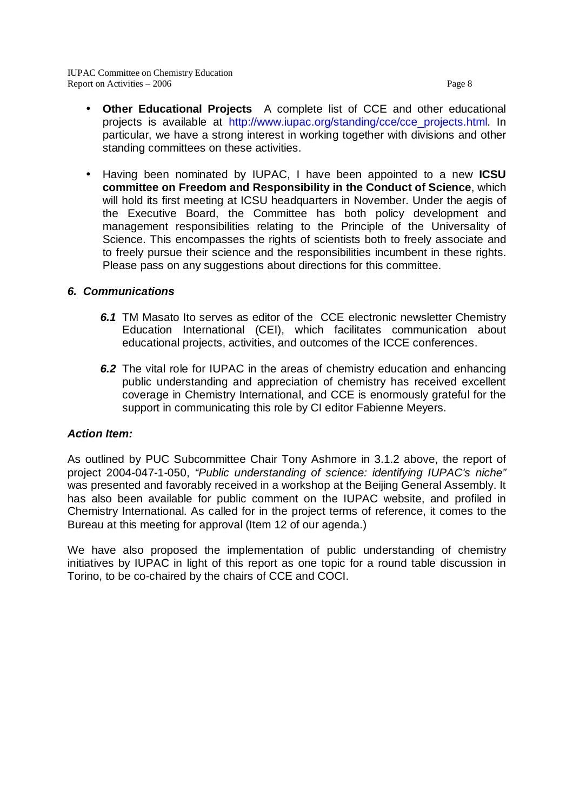- **Other Educational Projects** A complete list of CCE and other educational projects is available at http://www.iupac.org/standing/cce/cce\_projects.html. In particular, we have a stro[ng interest in working together with divisions and othe](http://www.iupac.org/standing/cce/cce_projects.html)r standing committees on these activities.
- Having been nominated by IUPAC, I have been appointed to a new **ICSU committee on Freedom and Responsibility in the Conduct of Science**, which will hold its first meeting at ICSU headquarters in November. Under the aegis of the Executive Board, the Committee has both policy development and management responsibilities relating to the Principle of the Universality of Science. This encompasses the rights of scientists both to freely associate and to freely pursue their science and the responsibilities incumbent in these rights. Please pass on any suggestions about directions for this committee.

#### **6. Communications**

- **6.1** TM Masato Ito serves as editor of the CCE electronic newsletter Chemistry Education International (CEI), which facilitates communication about educational projects, activities, and outcomes of the ICCE conferences.
- **6.2** The vital role for IUPAC in the areas of chemistry education and enhancing public understanding and appreciation of chemistry has received excellent coverage in Chemistry International, and CCE is enormously grateful for the support in communicating this role by CI editor Fabienne Meyers.

#### **Action Item:**

As outlined by PUC Subcommittee Chair Tony Ashmore in 3.1.2 above, the report of project 2004-047-1-050, "Public understanding of science: identifying IUPAC's niche" was presented and favorably received in a workshop at the Beijing General Assembly. It has also been available for public comment on the IUPAC website, and profiled in Chemistry International. As called for in the project terms of reference, it comes to the Bureau at this meeting for approval (Item 12 of our agenda.)

We have also proposed the implementation of public understanding of chemistry initiatives by IUPAC in light of this report as one topic for a round table discussion in Torino, to be co-chaired by the chairs of CCE and COCI.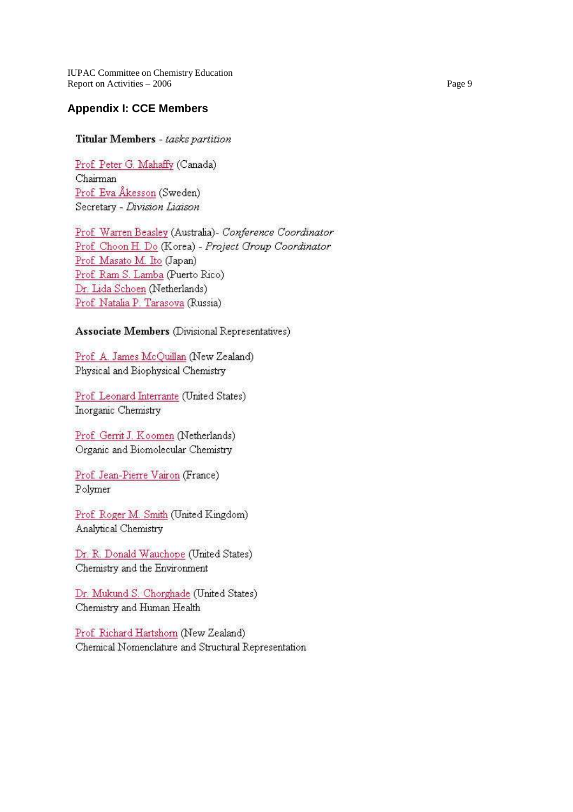**IUPAC Committee on Chemistry Education** Report on Activities - 2006

### **Appendix I: CCE Members**

#### Titular Members - tasks partition

Prof. Peter G. Mahaffy (Canada) Chairman Prof. Eva Åkesson (Sweden) Secretary - Division Liaison

Prof. Warren Beasley (Australia)- Conference Coordinator Prof. Choon H. Do (Korea) - Project Group Coordinator Prof. Masato M. Ito (Japan) Prof. Ram S. Lamba (Puerto Rico) Dr. Lida Schoen (Netherlands) Prof. Natalia P. Tarasova (Russia)

#### Associate Members (Divisional Representatives)

Prof. A. James McOuillan (New Zealand) Physical and Biophysical Chemistry

Prof. Leonard Interrante (United States) Inorganic Chemistry

Prof. Gerrit J. Koomen (Netherlands) Organic and Biomolecular Chemistry

Prof. Jean-Pierre Vairon (France) Polymer

Prof. Roger M. Smith (United Kingdom) Analytical Chemistry

Dr. R. Donald Wauchope (United States) Chemistry and the Environment

Dr. Mukund S. Chorghade (United States) Chemistry and Human Health

Prof. Richard Hartshorn (New Zealand) Chemical Nomenclature and Structural Representation